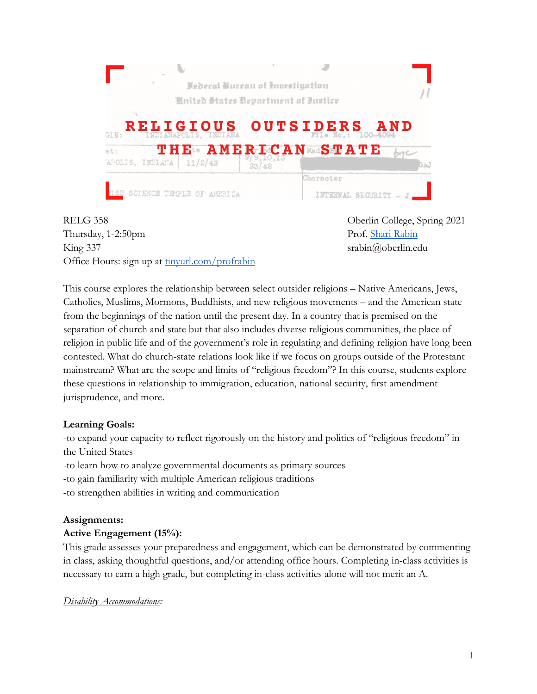

RELG 358 Oberlin College, Spring 2021 Thursday, 1-2:50pm Prof. Shari Rabin King 337 srabin@oberlin.edu Office Hours: sign up at tinyurl.com/profrabin

This course explores the relationship between select outsider religions – Native Americans, Jews, Catholics, Muslims, Mormons, Buddhists, and new religious movements – and the American state from the beginnings of the nation until the present day. In a country that is premised on the separation of church and state but that also includes diverse religious communities, the place of religion in public life and of the government's role in regulating and defining religion have long been contested. What do church-state relations look like if we focus on groups outside of the Protestant mainstream? What are the scope and limits of "religious freedom"? In this course, students explore these questions in relationship to immigration, education, national security, first amendment jurisprudence, and more.

## **Learning Goals:**

-to expand your capacity to reflect rigorously on the history and politics of "religious freedom" in the United States

- -to learn how to analyze governmental documents as primary sources
- -to gain familiarity with multiple American religious traditions
- -to strengthen abilities in writing and communication

# **Assignments:**

## **Active Engagement (15%):**

This grade assesses your preparedness and engagement, which can be demonstrated by commenting in class, asking thoughtful questions, and/or attending office hours. Completing in-class activities is necessary to earn a high grade, but completing in-class activities alone will not merit an A.

## *Disability Accommodations:*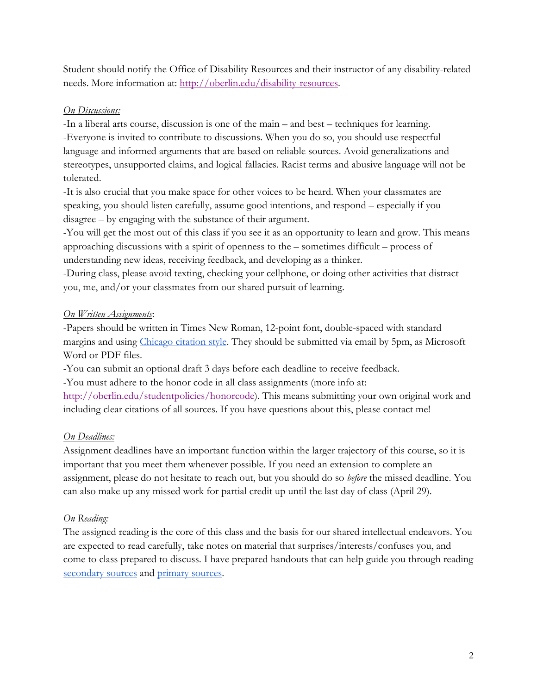Student should notify the Office of Disability Resources and their instructor of any disability-related needs. More information at: http://oberlin.edu/disability-resources.

## *On Discussions:*

-In a liberal arts course, discussion is one of the main – and best – techniques for learning. -Everyone is invited to contribute to discussions. When you do so, you should use respectful language and informed arguments that are based on reliable sources. Avoid generalizations and stereotypes, unsupported claims, and logical fallacies. Racist terms and abusive language will not be tolerated.

-It is also crucial that you make space for other voices to be heard. When your classmates are speaking, you should listen carefully, assume good intentions, and respond – especially if you disagree – by engaging with the substance of their argument.

-You will get the most out of this class if you see it as an opportunity to learn and grow. This means approaching discussions with a spirit of openness to the – sometimes difficult – process of understanding new ideas, receiving feedback, and developing as a thinker.

-During class, please avoid texting, checking your cellphone, or doing other activities that distract you, me, and/or your classmates from our shared pursuit of learning.

## *On Written Assignments*:

-Papers should be written in Times New Roman, 12-point font, double-spaced with standard margins and using Chicago citation style. They should be submitted via email by 5pm, as Microsoft Word or PDF files.

-You can submit an optional draft 3 days before each deadline to receive feedback.

-You must adhere to the honor code in all class assignments (more info at:

http://oberlin.edu/studentpolicies/honorcode). This means submitting your own original work and including clear citations of all sources. If you have questions about this, please contact me!

# *On Deadlines:*

Assignment deadlines have an important function within the larger trajectory of this course, so it is important that you meet them whenever possible. If you need an extension to complete an assignment, please do not hesitate to reach out, but you should do so *before* the missed deadline. You can also make up any missed work for partial credit up until the last day of class (April 29).

# *On Reading:*

The assigned reading is the core of this class and the basis for our shared intellectual endeavors. You are expected to read carefully, take notes on material that surprises/interests/confuses you, and come to class prepared to discuss. I have prepared handouts that can help guide you through reading secondary sources and primary sources.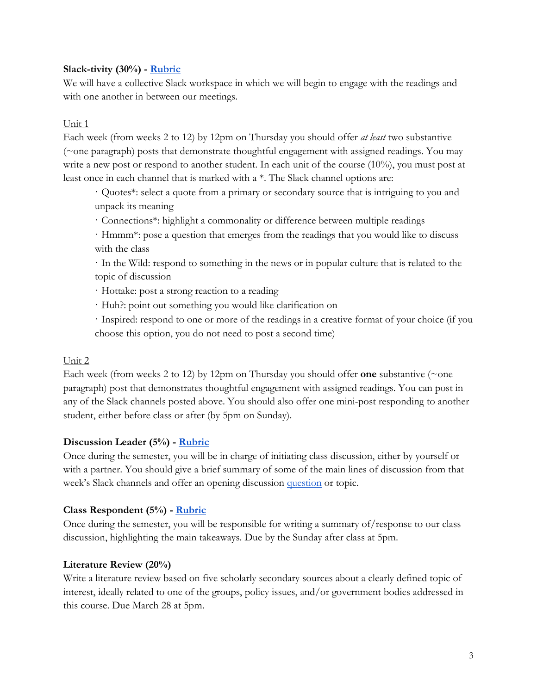### **Slack-tivity (30%) - Rubric**

We will have a collective Slack workspace in which we will begin to engage with the readings and with one another in between our meetings.

#### Unit 1

Each week (from weeks 2 to 12) by 12pm on Thursday you should offer *at least* two substantive (~one paragraph) posts that demonstrate thoughtful engagement with assigned readings. You may write a new post or respond to another student. In each unit of the course (10%), you must post at least once in each channel that is marked with a \*. The Slack channel options are:

· Quotes\*: select a quote from a primary or secondary source that is intriguing to you and unpack its meaning

· Connections\*: highlight a commonality or difference between multiple readings

· Hmmm\*: pose a question that emerges from the readings that you would like to discuss with the class

· In the Wild: respond to something in the news or in popular culture that is related to the topic of discussion

· Hottake: post a strong reaction to a reading

· Huh?: point out something you would like clarification on

· Inspired: respond to one or more of the readings in a creative format of your choice (if you choose this option, you do not need to post a second time)

#### Unit 2

Each week (from weeks 2 to 12) by 12pm on Thursday you should offer **one** substantive (~one paragraph) post that demonstrates thoughtful engagement with assigned readings. You can post in any of the Slack channels posted above. You should also offer one mini-post responding to another student, either before class or after (by 5pm on Sunday).

#### **Discussion Leader (5%) - Rubric**

Once during the semester, you will be in charge of initiating class discussion, either by yourself or with a partner. You should give a brief summary of some of the main lines of discussion from that week's Slack channels and offer an opening discussion question or topic.

#### **Class Respondent (5%) - Rubric**

Once during the semester, you will be responsible for writing a summary of/response to our class discussion, highlighting the main takeaways. Due by the Sunday after class at 5pm.

#### **Literature Review (20%)**

Write a literature review based on five scholarly secondary sources about a clearly defined topic of interest, ideally related to one of the groups, policy issues, and/or government bodies addressed in this course. Due March 28 at 5pm.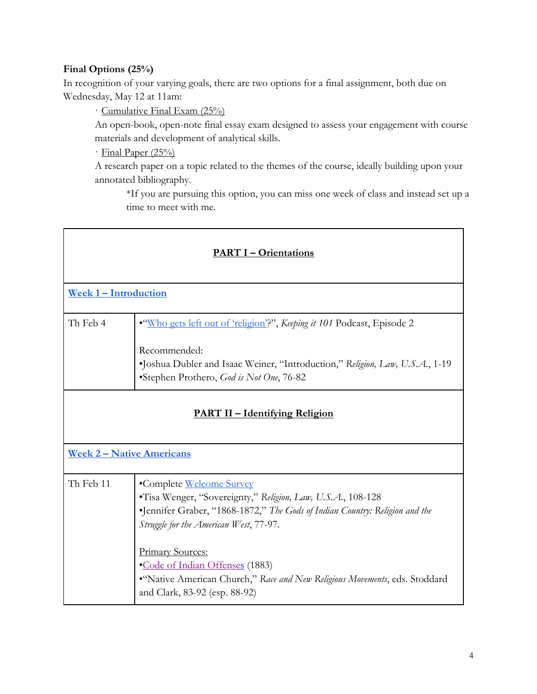## **Final Options (25%)**

In recognition of your varying goals, there are two options for a final assignment, both due on Wednesday, May 12 at 11am:

· Cumulative Final Exam (25%)

An open-book, open-note final essay exam designed to assess your engagement with course materials and development of analytical skills.

· Final Paper (25%)

A research paper on a topic related to the themes of the course, ideally building upon your annotated bibliography.

\*If you are pursuing this option, you can miss one week of class and instead set up a time to meet with me.

| <b>PART I - Orientations</b>          |                                                                                                                                                                                                                                                                                                                                                                                              |  |
|---------------------------------------|----------------------------------------------------------------------------------------------------------------------------------------------------------------------------------------------------------------------------------------------------------------------------------------------------------------------------------------------------------------------------------------------|--|
| Week 1 - Introduction                 |                                                                                                                                                                                                                                                                                                                                                                                              |  |
| Th Feb 4                              | "Who gets left out of 'religion'?", Keeping it 101 Podcast, Episode 2<br>Recommended:<br>•Joshua Dubler and Isaac Weiner, "Introduction," Religion, Law, U.S.A., 1-19<br>*Stephen Prothero, God is Not One, 76-82                                                                                                                                                                            |  |
| <b>PART II – Identifying Religion</b> |                                                                                                                                                                                                                                                                                                                                                                                              |  |
| <b>Week 2 – Native Americans</b>      |                                                                                                                                                                                                                                                                                                                                                                                              |  |
| Th Feb 11                             | •Complete Welcome Survey<br>•Tisa Wenger, "Sovereignty," Religion, Law, U.S.A., 108-128<br>•Jennifer Graber, "1868-1872," The Gods of Indian Country: Religion and the<br>Struggle for the American West, 77-97.<br>Primary Sources:<br><b>•Code of Indian Offenses</b> (1883)<br>"Native American Church," Race and New Religious Movements, eds. Stoddard<br>and Clark, 83-92 (esp. 88-92) |  |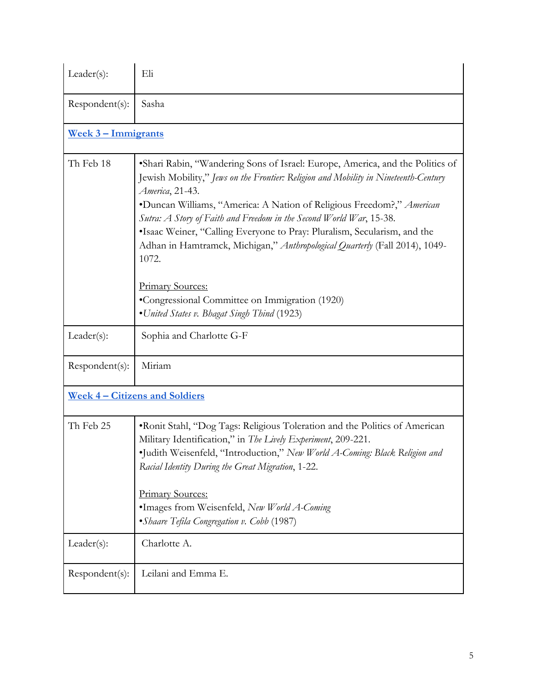| $Leader(s)$ :              | Eli                                                                                                                                                                                                                                                                                                                                                                                                                                                                                                                                                                                                                                       |  |
|----------------------------|-------------------------------------------------------------------------------------------------------------------------------------------------------------------------------------------------------------------------------------------------------------------------------------------------------------------------------------------------------------------------------------------------------------------------------------------------------------------------------------------------------------------------------------------------------------------------------------------------------------------------------------------|--|
| Respondent(s):             | Sasha                                                                                                                                                                                                                                                                                                                                                                                                                                                                                                                                                                                                                                     |  |
| <u>Week 3 - Immigrants</u> |                                                                                                                                                                                                                                                                                                                                                                                                                                                                                                                                                                                                                                           |  |
| Th Feb 18                  | • Shari Rabin, "Wandering Sons of Israel: Europe, America, and the Politics of<br>Jewish Mobility," Jews on the Frontier: Religion and Mobility in Nineteenth-Century<br>America, 21-43.<br>*Duncan Williams, "America: A Nation of Religious Freedom?," American<br>Sutra: A Story of Faith and Freedom in the Second World War, 15-38.<br>•Isaac Weiner, "Calling Everyone to Pray: Pluralism, Secularism, and the<br>Adhan in Hamtramck, Michigan," Anthropological Quarterly (Fall 2014), 1049-<br>1072.<br><b>Primary Sources:</b><br>•Congressional Committee on Immigration (1920)<br>• United States v. Bhagat Singh Thind (1923) |  |
| $Leader(s)$ :              | Sophia and Charlotte G-F                                                                                                                                                                                                                                                                                                                                                                                                                                                                                                                                                                                                                  |  |
| Respondent(s):             | Miriam                                                                                                                                                                                                                                                                                                                                                                                                                                                                                                                                                                                                                                    |  |
|                            | <u><b>Week 4 – Citizens and Soldiers</b></u>                                                                                                                                                                                                                                                                                                                                                                                                                                                                                                                                                                                              |  |
| Th Feb 25                  | ·Ronit Stahl, "Dog Tags: Religious Toleration and the Politics of American                                                                                                                                                                                                                                                                                                                                                                                                                                                                                                                                                                |  |
|                            | Military Identification," in The Lively Experiment, 209-221.<br>·Judith Weisenfeld, "Introduction," New World A-Coming: Black Religion and<br>Racial Identity During the Great Migration, 1-22.<br><b>Primary Sources:</b><br>•Images from Weisenfeld, New World A-Coming<br>• Shaare Tefila Congregation v. Cobb (1987)                                                                                                                                                                                                                                                                                                                  |  |
| $Leader(s)$ :              | Charlotte A.                                                                                                                                                                                                                                                                                                                                                                                                                                                                                                                                                                                                                              |  |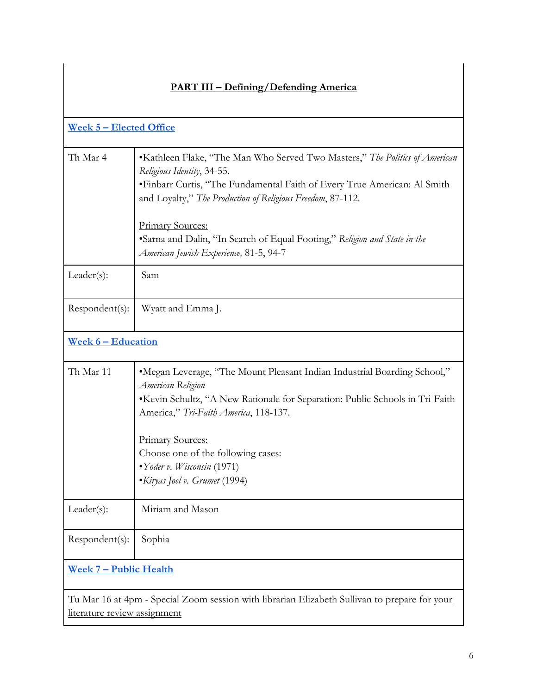| <u>Week 5 - Elected Office</u>                                                                                                       |                                                                                                                                                                                                                                                                                                                                                                                                        |  |
|--------------------------------------------------------------------------------------------------------------------------------------|--------------------------------------------------------------------------------------------------------------------------------------------------------------------------------------------------------------------------------------------------------------------------------------------------------------------------------------------------------------------------------------------------------|--|
| Th Mar 4                                                                                                                             | •Kathleen Flake, "The Man Who Served Two Masters," The Politics of American<br>Religious Identity, 34-55.<br>• Finbarr Curtis, "The Fundamental Faith of Every True American: Al Smith<br>and Loyalty," The Production of Religious Freedom, 87-112.<br><b>Primary Sources:</b><br>•Sarna and Dalin, "In Search of Equal Footing," Religion and State in the<br>American Jewish Experience, 81-5, 94-7 |  |
| $Leader(s)$ :                                                                                                                        | Sam                                                                                                                                                                                                                                                                                                                                                                                                    |  |
| Respondent(s):                                                                                                                       | Wyatt and Emma J.                                                                                                                                                                                                                                                                                                                                                                                      |  |
| <u>Week 6 - Education</u>                                                                                                            |                                                                                                                                                                                                                                                                                                                                                                                                        |  |
| Th Mar 11                                                                                                                            | "Megan Leverage, "The Mount Pleasant Indian Industrial Boarding School,"<br>American Religion<br>•Kevin Schultz, "A New Rationale for Separation: Public Schools in Tri-Faith<br>America," Tri-Faith America, 118-137.<br>Primary Sources:<br>Choose one of the following cases:<br>• Yoder v. Wisconsin (1971)<br>• Kiryas Joel v. Grumet (1994)                                                      |  |
| $Leader(s)$ :                                                                                                                        | Miriam and Mason                                                                                                                                                                                                                                                                                                                                                                                       |  |
| Respondent(s):                                                                                                                       | Sophia                                                                                                                                                                                                                                                                                                                                                                                                 |  |
| <u>Week 7 – Public Health</u>                                                                                                        |                                                                                                                                                                                                                                                                                                                                                                                                        |  |
| <u>Tu Mar 16 at 4pm - Special Zoom session with librarian Elizabeth Sullivan to prepare for your</u><br>literature review assignment |                                                                                                                                                                                                                                                                                                                                                                                                        |  |

# **PART III – Defining/Defending America**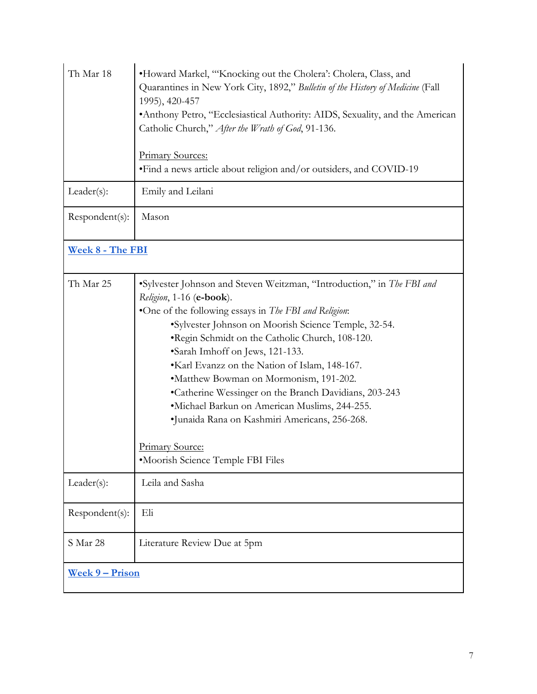| Th Mar 18              | •Howard Markel, "Knocking out the Cholera': Cholera, Class, and<br>Quarantines in New York City, 1892," Bulletin of the History of Medicine (Fall<br>1995), 420-457<br>• Anthony Petro, "Ecclesiastical Authority: AIDS, Sexuality, and the American<br>Catholic Church," After the Wrath of God, 91-136.<br><b>Primary Sources:</b><br>•Find a news article about religion and/or outsiders, and COVID-19                                                                                                                                                                                                                            |  |
|------------------------|---------------------------------------------------------------------------------------------------------------------------------------------------------------------------------------------------------------------------------------------------------------------------------------------------------------------------------------------------------------------------------------------------------------------------------------------------------------------------------------------------------------------------------------------------------------------------------------------------------------------------------------|--|
| $Leader(s)$ :          | Emily and Leilani                                                                                                                                                                                                                                                                                                                                                                                                                                                                                                                                                                                                                     |  |
| Respondent(s):         | Mason                                                                                                                                                                                                                                                                                                                                                                                                                                                                                                                                                                                                                                 |  |
| Week 8 - The FBI       |                                                                                                                                                                                                                                                                                                                                                                                                                                                                                                                                                                                                                                       |  |
| Th Mar 25              | •Sylvester Johnson and Steven Weitzman, "Introduction," in The FBI and<br>Religion, 1-16 (e-book).<br>•One of the following essays in The FBI and Religion:<br>•Sylvester Johnson on Moorish Science Temple, 32-54.<br>.Regin Schmidt on the Catholic Church, 108-120.<br>•Sarah Imhoff on Jews, 121-133.<br>•Karl Evanzz on the Nation of Islam, 148-167.<br>•Matthew Bowman on Mormonism, 191-202.<br>•Catherine Wessinger on the Branch Davidians, 203-243<br>•Michael Barkun on American Muslims, 244-255.<br>•Junaida Rana on Kashmiri Americans, 256-268.<br><b>Primary Source:</b><br><i>•Moorish Science Temple FBI Files</i> |  |
| $Leader(s)$ :          | Leila and Sasha                                                                                                                                                                                                                                                                                                                                                                                                                                                                                                                                                                                                                       |  |
| Respondent(s):         | Eli                                                                                                                                                                                                                                                                                                                                                                                                                                                                                                                                                                                                                                   |  |
| S Mar 28               | Literature Review Due at 5pm                                                                                                                                                                                                                                                                                                                                                                                                                                                                                                                                                                                                          |  |
| <u>Week 9 – Prison</u> |                                                                                                                                                                                                                                                                                                                                                                                                                                                                                                                                                                                                                                       |  |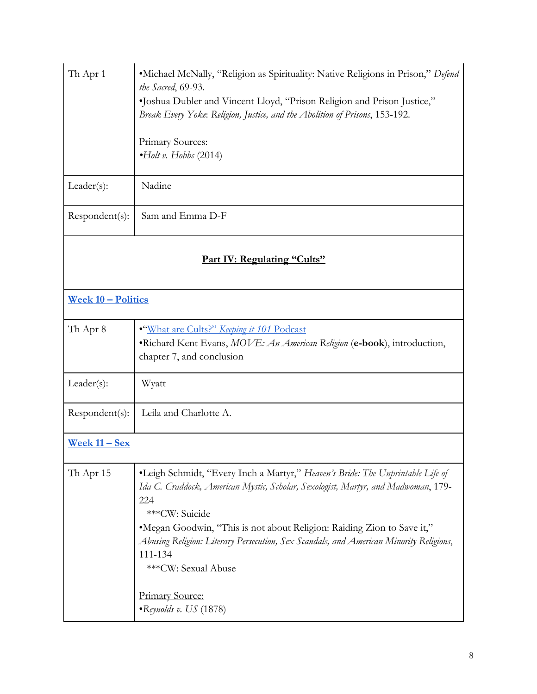| Th Apr 1                    | •Michael McNally, "Religion as Spirituality: Native Religions in Prison," Defend<br>the Sacred, 69-93.<br>"Joshua Dubler and Vincent Lloyd, "Prison Religion and Prison Justice,"<br>Break Every Yoke: Religion, Justice, and the Abolition of Prisons, 153-192.<br><b>Primary Sources:</b><br>$\cdot$ Holt v. Hobbs (2014)                                                                                            |  |
|-----------------------------|------------------------------------------------------------------------------------------------------------------------------------------------------------------------------------------------------------------------------------------------------------------------------------------------------------------------------------------------------------------------------------------------------------------------|--|
| $Leader(s)$ :               | Nadine                                                                                                                                                                                                                                                                                                                                                                                                                 |  |
| Respondent(s):              | Sam and Emma D-F                                                                                                                                                                                                                                                                                                                                                                                                       |  |
| Part IV: Regulating "Cults" |                                                                                                                                                                                                                                                                                                                                                                                                                        |  |
| <u>Week 10 - Politics</u>   |                                                                                                                                                                                                                                                                                                                                                                                                                        |  |
| Th Apr 8                    | . "What are Cults?" Keeping it 101 Podcast<br>•Richard Kent Evans, MOVE: An American Religion (e-book), introduction,<br>chapter 7, and conclusion                                                                                                                                                                                                                                                                     |  |
| $Leader(s)$ :               | Wyatt                                                                                                                                                                                                                                                                                                                                                                                                                  |  |
| Respondent(s):              | Leila and Charlotte A.                                                                                                                                                                                                                                                                                                                                                                                                 |  |
| Week $11 - Sex$             |                                                                                                                                                                                                                                                                                                                                                                                                                        |  |
| Th Apr 15                   | •Leigh Schmidt, "Every Inch a Martyr," Heaven's Bride: The Unprintable Life of<br>Ida C. Craddock, American Mystic, Scholar, Sexologist, Martyr, and Madwoman, 179-<br>224<br>***CW: Suicide<br>*Megan Goodwin, "This is not about Religion: Raiding Zion to Save it,"<br>Abusing Religion: Literary Persecution, Sex Scandals, and American Minority Religions,<br>111-134<br>*** CW: Sexual Abuse<br>Primary Source: |  |
|                             | $\bullet$ Reynolds v. US (1878)                                                                                                                                                                                                                                                                                                                                                                                        |  |